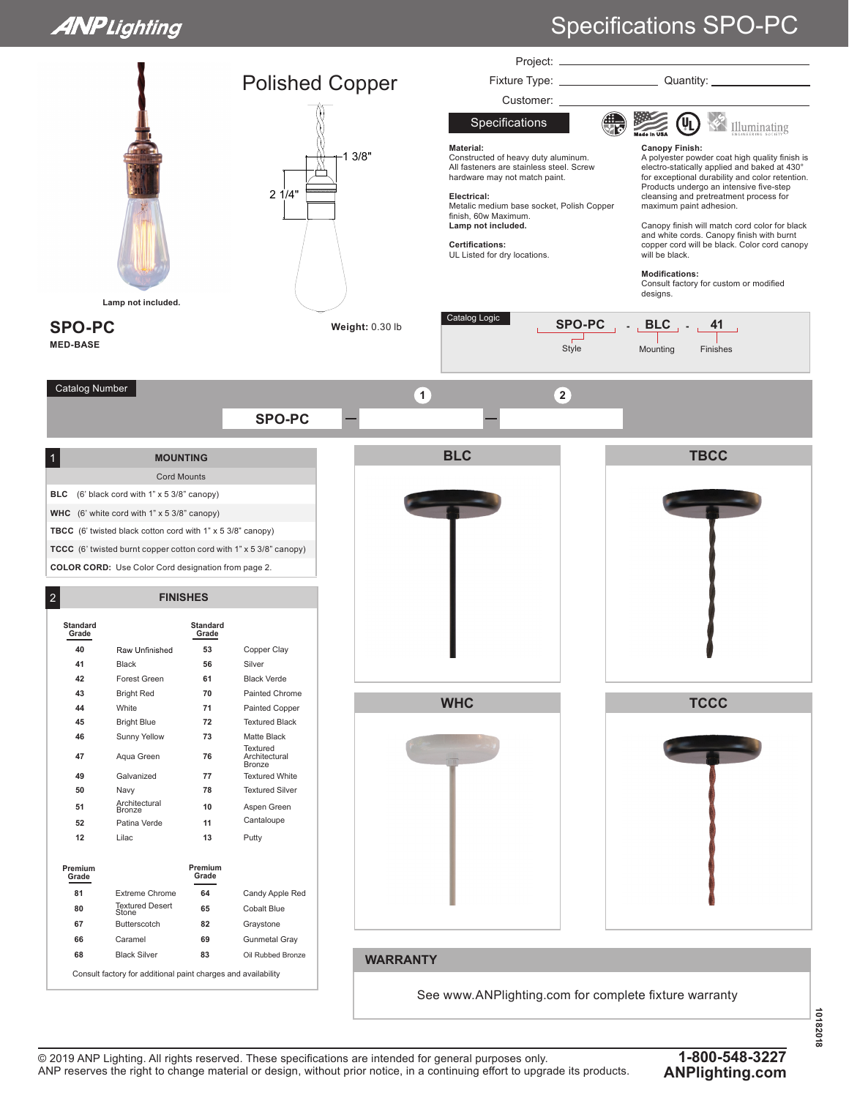## **ANPLighting**

## Specifications SPO-PC